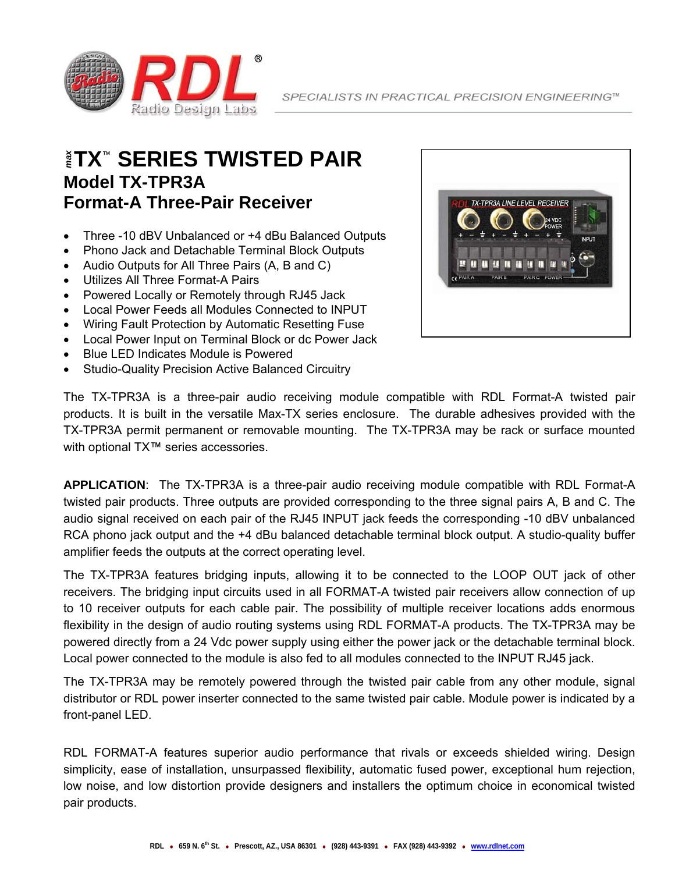

## **TX**™ **SERIES TWISTED PAIR**  *max* **Model TX-TPR3A Format-A Three-Pair Receiver**

- Three -10 dBV Unbalanced or +4 dBu Balanced Outputs
- Phono Jack and Detachable Terminal Block Outputs
- Audio Outputs for All Three Pairs (A, B and C)
- Utilizes All Three Format-A Pairs
- Powered Locally or Remotely through RJ45 Jack
- Local Power Feeds all Modules Connected to INPUT
- Wiring Fault Protection by Automatic Resetting Fuse
- Local Power Input on Terminal Block or dc Power Jack
- Blue LED Indicates Module is Powered
- Studio-Quality Precision Active Balanced Circuitry



The TX-TPR3A is a three-pair audio receiving module compatible with RDL Format-A twisted pair products. It is built in the versatile Max-TX series enclosure. The durable adhesives provided with the TX-TPR3A permit permanent or removable mounting. The TX-TPR3A may be rack or surface mounted with optional TX™ series accessories.

**APPLICATION**: The TX-TPR3A is a three-pair audio receiving module compatible with RDL Format-A twisted pair products. Three outputs are provided corresponding to the three signal pairs A, B and C. The audio signal received on each pair of the RJ45 INPUT jack feeds the corresponding -10 dBV unbalanced RCA phono jack output and the +4 dBu balanced detachable terminal block output. A studio-quality buffer amplifier feeds the outputs at the correct operating level.

The TX-TPR3A features bridging inputs, allowing it to be connected to the LOOP OUT jack of other receivers. The bridging input circuits used in all FORMAT-A twisted pair receivers allow connection of up to 10 receiver outputs for each cable pair. The possibility of multiple receiver locations adds enormous flexibility in the design of audio routing systems using RDL FORMAT-A products. The TX-TPR3A may be powered directly from a 24 Vdc power supply using either the power jack or the detachable terminal block. Local power connected to the module is also fed to all modules connected to the INPUT RJ45 jack.

The TX-TPR3A may be remotely powered through the twisted pair cable from any other module, signal distributor or RDL power inserter connected to the same twisted pair cable. Module power is indicated by a front-panel LED.

RDL FORMAT-A features superior audio performance that rivals or exceeds shielded wiring. Design simplicity, ease of installation, unsurpassed flexibility, automatic fused power, exceptional hum rejection, low noise, and low distortion provide designers and installers the optimum choice in economical twisted pair products.